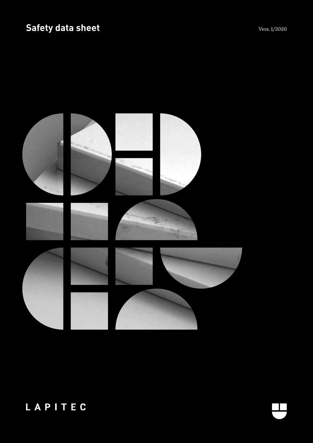# Safety data sheet **Vers. 1/2020** Vers. 1/2020



# LAPITEC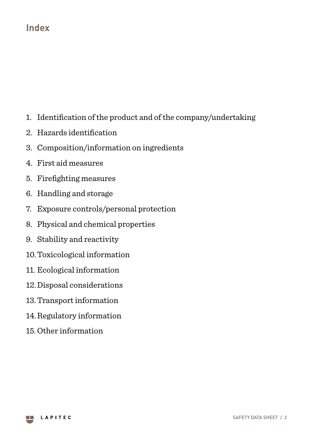### **Index**

- 1. Identification of the product and of the company/undertaking
- 2. Hazards identification
- 3. Composition/information on ingredients
- 4. First aid measures
- 5. Firefighting measures
- 6. Handling and storage
- 7. Exposure controls/personal protection
- 8. Physical and chemical properties
- 9. Stability and reactivity
- 10.Toxicological information
- 11. Ecological information
- 12.Disposal considerations
- 13.Transport information
- 14.Regulatory information
- 15. Other information

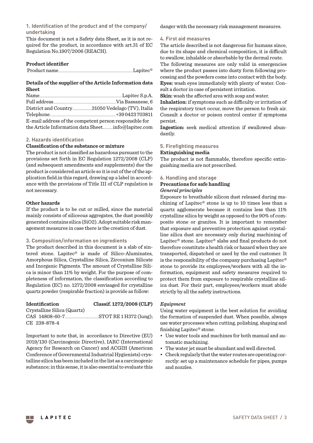**1. Identification of the product and of the company/ undertaking**

This document is not a Safety data Sheet, as it is not required for the product, in accordance with art.31 of EC Regulation No.1907/2006 (REACH).

#### **Product identifier**

|--|--|

#### **Details of the supplier of the Article Information data Sheet**

| E-mail address of the competent person responsible for |  |
|--------------------------------------------------------|--|
|                                                        |  |

#### **2. Hazards identification**

#### **Classification of the substance or mixture**

The product is not classified as hazardous pursuant to the provisions set forth in EC Regulation 1272/2008 (CLP) (and subsequent amendments and supplements) due the product is considered an article so it is out of the of the application field.in this regard, drawing up a label in accordance with the provisions of Title III of CLP regulation is not necessary.

#### **Other hazards**

If the product is to be cut or milled, since the material mainly consists of siliceous aggregates, the dust possibly generated contains silica (SiO2). Adopt suitable risk management measures in case there is the creation of dust.

#### **3. Composition/information on ingredients**

The product described in this document is a slab of sintered stone. Lapitec® is made of Silico-Aluminates, Amorphous Silica, Crystalline Silica, Zirconium Silicate and Inorganic Pigments. The amount of Crystalline Silica is minor than 11% by weight. For the purpose of completeness of information, the classification according to Regulation (EC) no. 1272/2008 envisaged for crystalline quartz powder (respirable fraction) is provide as follow:

| Identification              | Classif. 1272/2008 (CLP) |
|-----------------------------|--------------------------|
| Crystalline Silica (Quartz) |                          |
|                             |                          |
| CE 238-878-4                |                          |

Important to note that, in accordance to Directive (EU) 2019/130 (Carcinogenic Directive), IARC (International Agency for Research on Cancer) and ACGIH (American Conference of Governmental Industrial Hygienists) crystalline silica has been included in the list as a carcinogenic substance; in this sense, it is also essential to evaluate this danger with the necessary risk management measures.

#### **4. First aid measures**

The article described is not dangerous for humans since, due to its shape and chemical composition, it is difficult to swallow, inhalable or absorbable by the dermal route. The following measures are only valid in emergencies where the product passes into dusty form following processing and the powders come into contact with the body. **Eyes:** wash eyes immediately with plenty of water. Consult a doctor in case of persistent irritation.

**Skin:** wash the affected area with soap and water.

**Inhalation:** if symptoms such as difficulty or irritation of the respiratory tract occur, move the person to fresh air. Consult a doctor or poison control center if symptoms persist.

**Ingestion:** seek medical attention if swallowed abundantly.

#### **5. Firefighting measures**

**Extinguishing media**

The product is not flammable, therefore specific extinguishing media are not prescribed.

#### **6. Handling and storage**

#### **Precautions for safe handling** *General principles*

Exposure to breathable silicon dust released during machining of Lapitec® stone is up to 10 times less than a quartz agglomerate because it contains less than 11% crystalline silica by weight as opposed to the 90% of composite stone or granites. It is important to remember that exposure and preventive protection against crystalline silica dust are necessary only during machining of Lapitec® stone. Lapitec® slabs and final products do not therefore constitute a health risk or hazard when they are transported, dispatched or used by the end customer. It is the responsibility of the company purchasing Lapitec® stone to provide its employees/workers with all the information, equipment and safety measures required to protect them from exposure to respirable crystalline silica dust. For their part, employees/workers must abide strictly by all the safety instructions.

#### *Equipment*

Using water equipment is the best solution for avoiding the formation of suspended dust. When possible, always use water processes when cutting, polishing, shaping and finishing Lapitec® stone.

- Use water tools and machines for both manual and automatic machining.
- The water jet must be abundant and well directed.
- Check regularly that the water routes are operating correctly: set up a maintenance schedule for pipes, pumps and nozzles.

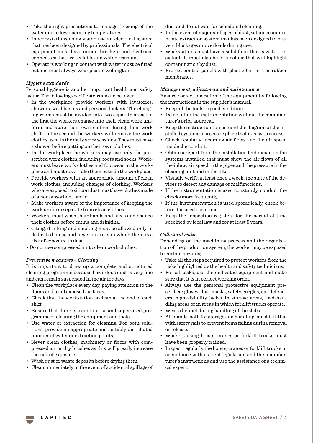- Take the right precautions to manage freezing of the water due to low operating temperatures.
- In workstations using water, use an electrical system that has been designed by professionals. The electrical equipment must have circuit breakers and electrical connectors that are sealable and water-resistant.
- Operators working in contact with water must be fitted out and must always wear plastic wellingtons

#### *Hygiene standards*

Personal hygiene is another important health and safety factor. The following specific steps should be taken.

- In the workplace provide workers with lavatories, showers, washbasins and personal lockers. The changing rooms must be divided into two separate areas: in the first the workers change into their clean work uniform and store their own clothes during their work shift. In the second the workers will remove the work clothes used in the daily work sessions. They must have a shower before putting on their own clothes.
- In the workplace the workers may use only the prescribed work clothes, including boots and socks. Workers must leave work clothes and footwear in the workplace and must never take them outside the workplace.
- Provide workers with an appropriate amount of clean work clothes, including changes of clothing. Workers who are exposed to silicon dust must have clothes made of a non-absorbent fabric.
- Make workers aware of the importance of keeping the work uniform separate from clean clothes.
- Workers must wash their hands and faces and change their clothes before eating and drinking.
- Eating, drinking and smoking must be allowed only in dedicated areas and never in areas in which there is a risk of exposure to dust.
- Do not use compressed air to clean work clothes.

#### *Preventive measures – Cleaning*

It is important to draw up a complete and structured cleaning programme because hazardous dust is very fine and can remain suspended in the air for days.

- Clean the workplace every day, paying attention to the floors and to all exposed surfaces.
- Check that the workstation is clean at the end of each shift.
- Ensure that there is a continuous and supervised programme of cleaning the equipment and tools.
- Use water or extraction for cleaning. For both solutions, provide an appropriate and suitably distributed number of water or extraction points.
- Never clean clothes, machinery or floors with compressed air or dry brushes as this will greatly increase the risk of exposure.
- Wash dust or waste deposits before drying them.
- Clean immediately in the event of accidental spillage of

dust and do not wait for scheduled cleaning.

- In the event of major spillages of dust, set up an appropriate extraction system that has been designed to prevent blockages or overloads during use.
- Workstations must have a solid floor that is water-resistant. It must also be of a colour that will highlight contamination by dust.
- Protect control panels with plastic barriers or rubber membranes.

#### *Management, adjustment and maintenance*

Ensure correct operation of the equipment by following the instructions in the supplier's manual.

- Keep all the tools in good condition.
- Do not alter the instrumentation without the manufacturer's prior approval.
- Keep the instructions on use and the diagram of the installed systems in a secure place that is easy to access.
- Check regularly incoming air flows and the air speed inside the conduit.
- Obtain a report from the installation technician on the systems installed that must show the air flows of all the inlets, air speed in the pipes and the pressure in the cleaning unit and in the filter.
- Visually verify, at least once a week, the state of the devices to detect any damage or malfunctions.
- If the instrumentation is used constantly, conduct the checks more frequently.
- If the instrumentation is used sporadically, check before it is used each time.
- Keep the inspection registers for the period of time specified by local law and for at least 5 years.

#### *Collateral risks*

Depending on the machining process and the organisation of the production system, the worker may be exposed to certain hazards;

- Take all the steps required to protect workers from the risks highlighted by the health and safety technicians.
- For all tasks, use the dedicated equipment and make sure that it is in perfect working order.
- Always use the personal protective equipment prescribed: gloves, dust masks, safety goggles, ear defenders, high-visibility jacket in storage areas, load-handling areas or in areas in which forklift trucks operate.
- Wear a helmet during handling of the slabs.
- All stands, both for storage and handling, must be fitted with safety rails to prevent items falling during removal or release.
- Workers using hoists, cranes or forklift trucks must have been properly trained.
- Inspect regularly the hoists, cranes or forklift trucks in accordance with current legislation and the manufacturer's instructions and use the assistance of a technical expert.

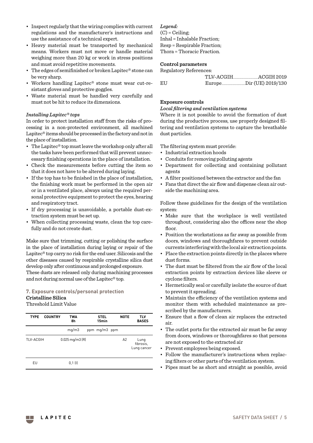- Inspect regularly that the wiring complies with current regulations and the manufacturer's instructions and use the assistance of a technical expert.
- Heavy material must be transported by mechanical means. Workers must not move or handle material weighing more than 20 kg or work in stress positions and must avoid repetitive movements.
- The edges of semifinished or broken Lapitec® stone can be very sharp.
- Workers handling Lapitec® stone must wear cut-resistant gloves and protective goggles.
- Waste material must be handled very carefully and must not be hit to reduce its dimensions.

#### *Installing Lapitec® tops*

In order to protect installation staff from the risks of processing in a non-protected environment, all machined Lapitec® items should be processed in the factory and not in the place of installation.

- The Lapitec® top must leave the workshop only after all the tasks have been performed that will prevent unnecessary finishing operations in the place of installation.
- Check the measurements before cutting the item so that it does not have to be altered during laying.
- If the top has to be finished in the place of installation, the finishing work must be performed in the open air or in a ventilated place, always using the required personal protective equipment to protect the eyes, hearing and respiratory tract.
- If dry processing is unavoidable, a portable dust-extraction system must be set up.
- When collecting processing waste, clean the top carefully and do not create dust.

Make sure that trimming, cutting or polishing the surface in the place of installation during laying or repair of the Lapitec® top carry no risk for the end user. Silicosis and the other diseases caused by respirable crystalline silica dust develop only after continuous and prolonged exposure. These dusts are released only during machining processes

### **7. Exposure controls/personal protection Cristalline Silica**

and not during normal use of the Lapitec® top.

#### Threshold Limit Value

| <b>TYPE</b> | <b>COUNTRY</b> | TWA<br>8h                                  | <b>STEL</b><br>15min | <b>NOTE</b> | TLV<br><b>BASES</b>              |
|-------------|----------------|--------------------------------------------|----------------------|-------------|----------------------------------|
|             |                | mq/m3                                      | ppm mg/m3 ppm        |             |                                  |
| TLV-ACGIH   |                | $0.025 \,\mathrm{mq/m}$ $3 \,\mathrm{[R]}$ |                      | A2          | Lung<br>fibrosis,<br>Lung cancer |
| EU          |                | $0,1$ (I)                                  |                      |             |                                  |

#### *Legend:*

 $(C) = Ceiling:$ Inhal = Inhalable Fraction; Resp = Respirable Fraction; Thora = Thoracic Fraction.

#### **Control parameters**

| Regulatory References: |                      |
|------------------------|----------------------|
|                        | TLV-ACGIH ACGIH 2019 |
| EU                     |                      |

#### **Exposure controls**

#### *Local filtering and ventilation systems*

Where it is not possible to avoid the formation of dust during the productive process, use properly designed filtering and ventilation systems to capture the breathable dust particles.

The filtering system must provide:

- Industrial extraction hoods
- Conduits for removing polluting agents
- Department for collecting and containing pollutant agents
- A filter positioned between the extractor and the fan
- Fans that direct the air flow and dispense clean air outside the machining area.

Follow these guidelines for the design of the ventilation system:

- Make sure that the workplace is well ventilated throughout, considering also the offices near the shop floor.
- Position the workstations as far away as possible from doors, windows and thoroughfares to prevent outside currents interfering with the local air extraction points.
- Place the extraction points directly in the places where dust forms.
- The dust must be filtered from the air flow of the local extraction points by extraction devices like sleeve or cyclone filters.
- Hermetically seal or carefully isolate the source of dust to prevent it spreading.
- Maintain the efficiency of the ventilation systems and monitor them with scheduled maintenance as prescribed by the manufacturers.
- Ensure that a flow of clean air replaces the extracted air.
- The outlet ports for the extracted air must be far away from doors, windows or thoroughfares so that persons are not exposed to the extracted air
- Prevent employees being exposed.
- Follow the manufacturer's instructions when replacing filters or other parts of the ventilation system.
- Pipes must be as short and straight as possible, avoid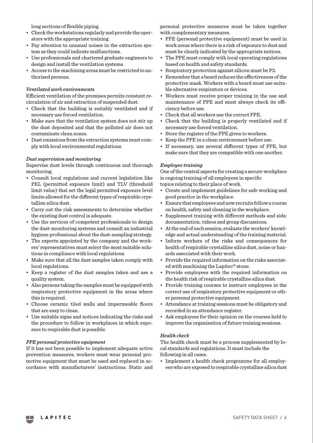long sections of flexible piping.

- Check the workstations regularly and provide the operators with the appropriate training.
- Pay attention to unusual noises in the extraction system as they could indicate malfunctions.
- Use professionals and chartered graduate engineers to design and install the ventilation systems.
- Access to the machining areas must be restricted to authorised persons.

#### *Ventilated work environments*

Efficient ventilation of the premises permits constant recirculation of air and extraction of suspended dust.

- Check that the building is suitably ventilated and if necessary use forced ventilation.
- Make sure that the ventilation system does not stir up the dust deposited and that the polluted air does not contaminate clean zones.
- Dust emissions from the extraction systems must comply with local environmental regulations

#### *Dust supervision and monitoring*

Supervise dust levels through continuous and thorough monitoring.

- Consult local regulations and current legislation like PEL (permitted exposure limit) and TLV (threshold limit value) that set the legal permitted exposure level limits allowed for the different types of respirable crystalline silica dust.
- Carry out the risk assessments to determine whether the existing dust control is adequate.
- Use the services of competent professionals to design the dust-monitoring systems and consult an industrial hygiene professional about the dust-sampling strategy.
- The experts appointed by the company and the workers' representatives must select the most suitable solutions in compliance with local regulations.
- Make sure that all the dust samples taken comply with local regulations.
- Keep a register of the dust samples taken and use a quality system.
- Also persons taking the samples must be equipped with respiratory protective equipment in the areas where this is required.
- Choose ceramic tiled walls and impermeable floors that are easy to clean.
- Use suitable signs and notices indicating the risks and the procedure to follow in workplaces in which exposure to respirable dust is possible.

#### *PPE personal protective equipment*

If it has not been possible to implement adequate active prevention measures, workers must wear personal protective equipment that must be used and replaced in accordance with manufacturers' instructions. Static and personal protective measures must be taken together with complementary measures.

- PPE (personal protective equipment) must be used in work areas where there is a risk of exposure to dust and must be clearly indicated by the appropriate notices.
- The PPE must comply with local operating regulations based on health and safety standards.
- Respiratory protection against silicon must be P3.
- Remember that a beard reduces the effectiveness of the protective mask. Workers with a beard must use suitable alternative respirators or devices.
- Workers must receive proper training in the use and maintenance of PPE and must always check its efficiency before use.
- Check that all workers use the correct PPE.
- Check that the building is properly ventilated and if necessary use forced ventilation.
- Store the register of the PPE given to workers.
- Keep the PPE in a clean environment before use.
- If necessary, use several different types of PPE, but make sure that they are compatible with one another.

#### *Employee training*

One of the central aspects for creating a secure workplace is ongoing training of all employees in specific

topics relating to their place of work.

- Create and implement guidelines for safe working and good practice in the workplace.
- Ensure that employees and new recruits follow a course on health, safety and cleaning in the workplace.
- Supplement training with different methods and aids: documentation, videos and group discussions.
- At the end of each session, evaluate the workers' knowledge and actual understanding of the training material.
- Inform workers of the risks and consequences for health of respirable crystalline silica dust, noise or hazards associated with their work.
- Provide the required information on the risks associated with machining the Lapitec® stone.
- Provide employees with the required information on the health risk of respirable crystalline silica dust.
- Provide training courses to instruct employees in the correct use of respiratory protective equipment or other personal protective equipment.
- Attendance at training sessions must be obligatory and recorded in an attendance register.
- Ask employees for their opinion on the courses held to improve the organisation of future training sessions.

#### *Health check*

The health check must be a process supplemented by local standards and regulations. It must include the following in all cases.

• Implement a health check programme for all employees who are exposed to respirable crystalline silica dust

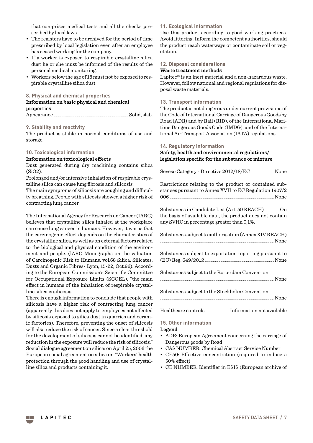that comprises medical tests and all the checks prescribed by local laws.

- The registers have to be archived for the period of time prescribed by local legislation even after an employee has ceased working for the company.
- If a worker is exposed to respirable crystalline silica dust he or she must be informed of the results of the personal medical monitoring.
- Workers below the age of 18 must not be exposed to respirable crystalline silica dust

#### **8. Physical and chemical properties**

#### **Information on basic physical and chemical properties** Appearance.................................................................................................................Solid, slab.

#### **9. Stability and reactivity**

The product is stable in normal conditions of use and storage.

#### **10. Toxicological information**

#### **Information on toxicological effects**

Dust generated during dry machining contains silica (SiO2).

Prolonged and/or intensive inhalation of respirable crystalline silica can cause lung fibrosis and silicosis.

The main symptoms of silicosis are coughing and difficulty breathing. People with silicosis showed a higher risk of contracting lung cancer.

The International Agency for Research on Cancer (IARC) believes that crystalline silica inhaled at the workplace can cause lung cancer in humans. However, it warns that the carcinogenic effect depends on the characteristics of the crystalline silica, as well as on external factors related to the biological and physical condition of the environment and people. (lARC Monographs on the valuation of Carcinogenic Risk to Humans, vol.68 Silica, Silicates, Dusts and Organic Fibres- Lyon, 15-22, Oct.96). According to the European Commission's Scientific Committee for Occupational Exposure Limits (SCOEL), "the main effect in humans of the inhalation of respirable crystalline silica is silicosis.

There is enough information to conclude that people with silicosis have a higher risk of contracting lung cancer (apparently this does not apply to employees not affected by silicosis exposed to silica dust in quarries and ceramic factories). Therefore, preventing the onset of silicosis will also reduce the risk of cancer. Since a clear threshold for the development of silicosis cannot be identified, any reduction in the exposure will reduce the risk of silicosis." Social dialogue agreement on silica: on April 25, 2006 the European social agreement on silica on "Workers' health protection through the good handling and use of crystalline silica and products containing it.

#### **11. Ecological information**

Use this product according to good working practices. Avoid littering. Inform the competent authorities, should the product reach waterways or contaminate soil or vegetation.

#### **12. Disposal considerations**

#### **Waste treatment methods**

Lapitec® is an inert material and a non-hazardous waste. However, follow national and regional regulations for disposal waste materials.

#### **13. Transport information**

The product is not dangerous under current provisions of the Code of International Carriage of Dangerous Goods by Road (ADR) and by Rail (RID), of the International Maritime Dangerous Goods Code (IMDG), and of the International Air Transport Association (IATA) regulations.

#### **14. Regulatory information**

#### **Safety, health and environmental regulations/ legislation specific for the substance or mixture**

|--|--|--|--|--|

Restrictions relating to the product or contained substances pursuant to Annex XVII to EC Regulation 1907/2 006............................................................................................................................................................None

Substances in Candidate List (Art. 59 REACH)........................On the basis of available data, the product does not contain any SVHC in percentage greater than 0,1%.

| Substances subject to authorisation (Annex XIV REACH) |  |
|-------------------------------------------------------|--|
| <u>None</u>                                           |  |

Substances subject to exportation reporting pursuant to (EC) Reg. 649/2012 .......................................................................................................None

Substances subject to the Rotterdam Convention ... .........................................................................................................................................................................None

| Substances subject to the Stockholm Convention |  |
|------------------------------------------------|--|
|                                                |  |

Healthcare controls ....................................Information not available

#### **15. Other information**

#### **Legend**

- ADR: European Agreement concerning the carriage of Dangerous goods by Road
- CAS NUMBER: Chemical Abstract Service Number
- CE50: Effective concentration (required to induce a 50% effect)
- CE NUMBER: Identifier in ESIS (European archive of

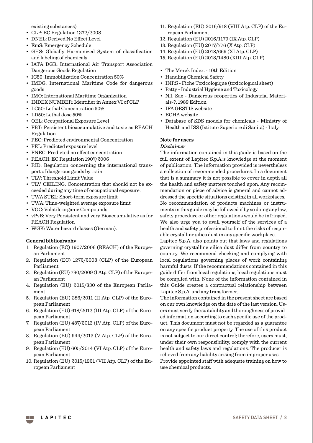existing substances)

- CLP: EC Regulation 1272/2008
- DNEL: Derived No Effect Level
- EmS: Emergency Schedule
- GHS: Globally Harmonized System of classification and labeling of chemicals
- IATA DGR: International Air Transport Association Dangerous Goods Regulation
- IC50: Immobilization Concentration 50%
- IMDG: International Maritime Code for dangerous goods
- IMO: International Maritime Organization
- INDEX NUMBER: Identifier in Annex VI of CLP
- LC50: Lethal Concentration 50%
- LD50: Lethal dose 50%
- OEL: Occupational Exposure Level
- PBT: Persistent bioaccumulative and toxic as REACH Regulation
- PEC: Predicted environmental Concentration
- PEL: Predicted exposure level
- PNEC: Predicted no effect concentration
- REACH: EC Regulation 1907/2006
- RID: Regulation concerning the international transport of dangerous goods by train
- TLV: Threshold Limit Value
- TLV CEILING: Concentration that should not be exceeded during any time of occupational exposure.
- TWA STEL: Short-term exposure limit
- TWA: Time-weighted average exposure limit
- VOC: Volatile organic Compounds
- vPvB: Very Persistent and very Bioaccumulative as for REACH Regulation
- WGK: Water hazard classes (German).

#### **General bibliography**

- 1. Regulation (EC) 1907/2006 (REACH) of the European Parliament
- 2. Regulation (EC) 1272/2008 (CLP) of the European Parliament
- 3. Regulation (EU) 790/2009 (I Atp. CLP) of the European Parliament
- 4. Regulation (EU) 2015/830 of the European Parliament
- 5. Regulation (EU) 286/2011 (II Atp. CLP) of the European Parliament
- 6. Regulation (EU) 618/2012 (III Atp. CLP) of the European Parliament
- 7. Regulation (EU) 487/2013 (IV Atp. CLP) of the European Parliament
- 8. Regulation (EU) 944/2013 (V Atp. CLP) of the European Parliament
- 9. Regulation (EU) 605/2014 (VI Atp. CLP) of the European Parliament
- 10. Regulation (EU) 2015/1221 (VII Atp. CLP) of the European Parliament
- 11. Regulation (EU) 2016/918 (VIII Atp. CLP) of the European Parliament
- 12. Regulation (EU) 2016/1179 (IX Atp. CLP)
- 13. Regulation (EU) 2017/776 (X Atp. CLP)
- 14. Regulation (EU) 2018/669 (XI Atp. CLP)
- 15. Regulation (EU) 2018/1480 (XIII Atp. CLP)

#### • The Merck Index. - 10th Edition

- Handling Chemical Safety
- INRS Fiche Toxicologique (toxicological sheet)
- Patty Industrial Hygiene and Toxicology
- N.I. Sax Dangerous properties of Industrial Materials-7, 1989 Edition
- IFA GESTIS website
- ECHA website
- Database of SDS models for chemicals Ministry of Health and ISS (Istituto Superiore di Sanità) - Italy

#### **Note for users**

#### *Disclaimer*

The information contained in this guide is based on the full extent of Lapitec S.p.A.'s knowledge at the moment of publication. The information provided is nevertheless a collection of recommended procedures. In a document that is a summary it is not possible to cover in depth all the health and safety matters touched upon. Any recommendation or piece of advice is general and cannot addressed the specific situations existing in all workplaces. No recommendation of products machines or instruments in this guide may be followed if by so doing any law, safety procedure or other regulations would be infringed. We also urge you to avail yourself of the services of a health and safety professional to limit the risks of respirable crystalline silica dust in any specific workplace.

Lapitec S.p.A. also points out that laws and regulations governing crystalline silica dust differ from country to country. We recommend checking and complying with local regulations governing places of work containing harmful dusts. If the recommendations contained in this guide differ from local regulations, local regulations must be complied with. None of the information contained in this Guide creates a contractual relationship between Lapitec S.p.A. and any transformer.

The information contained in the present sheet are based on our own knowledge on the date of the last version. Users must verify the suitability and thoroughness of provided information according to each specific use of the product. This document must not be regarded as a guarantee on any specific product property. The use of this product is not subject to our direct control; therefore, users must, under their own responsibility, comply with the current health and safety laws and regulations. The producer is relieved from any liability arising from improper uses. Provide appointed staff with adequate training on how to use chemical products.

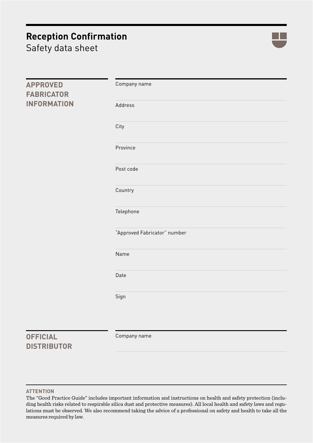## **Reception Confirmation**

Safety data sheet



| <b>APPROVED</b><br><b>FABRICATOR</b>  | Company name                 |
|---------------------------------------|------------------------------|
| <b>INFORMATION</b>                    | Address                      |
|                                       | City                         |
|                                       | Province                     |
|                                       | Post code                    |
|                                       | Country                      |
|                                       | Telephone                    |
|                                       | "Approved Fabricator" number |
|                                       | Name                         |
|                                       | Date                         |
|                                       | Sign                         |
| <b>OFFICIAL</b><br><b>DISTRIBUTOR</b> | Company name                 |

#### **ATTENTION**

The "Good Practice Guide" includes important information and instructions on health and safety protection (including health risks related to respirable silica dust and protective measures). All local health and safety laws and regulations must be observed. We also recommend taking the advice of a professional on safety and health to take all the measures required by law.